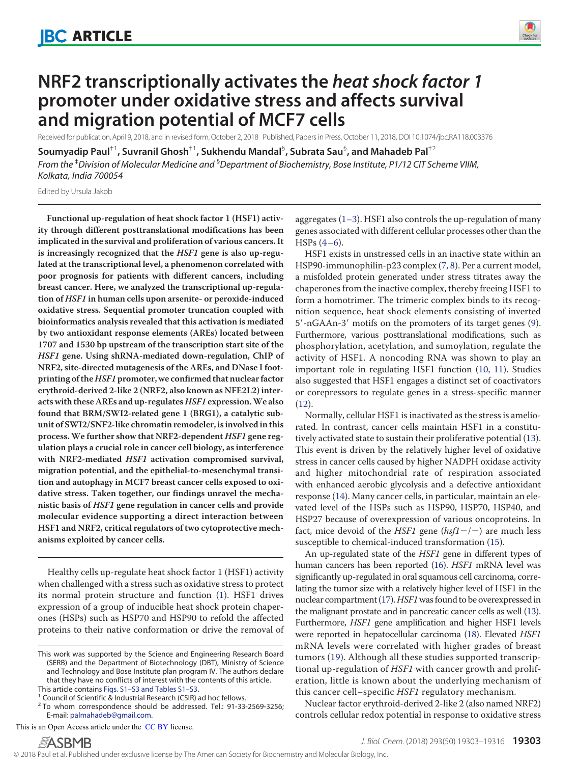

# **NRF2 transcriptionally activates the** *heat shock factor 1* **promoter under oxidative stress and affects survival and migration potential of MCF7 cells**

Received for publication, April 9, 2018, and in revised form, October 2, 2018 Published, Papers in Press, October 11, 2018, DOI 10.1074/jbc.RA118.003376

 ${\sf SoundMap}$  Paul $^{\dagger1}$ , Suvranil Ghosh $^{\dagger1}$ , Sukhendu Mandal $^{\mathbb{S}}$ , Subrata Sau $^{\mathbb{S}}$ , and Mahadeb Pal $^{\dagger2}$ *From the* ‡*Division of Molecular Medicine and* §*Department of Biochemistry, Bose Institute, P1/12 CIT Scheme VIIM, Kolkata, India 700054*

Edited by Ursula Jakob

**Functional up-regulation of heat shock factor 1 (HSF1) activity through different posttranslational modifications has been implicated in the survival and proliferation of various cancers. It is increasingly recognized that the HSF1 gene is also up-regulated at the transcriptional level, a phenomenon correlated with poor prognosis for patients with different cancers, including breast cancer. Here, we analyzed the transcriptional up-regulation of HSF1 in human cells upon arsenite- or peroxide-induced oxidative stress. Sequential promoter truncation coupled with bioinformatics analysis revealed that this activation is mediated by two antioxidant response elements (AREs) located between 1707 and 1530 bp upstream of the transcription start site of the HSF1 gene. Using shRNA-mediated down-regulation, ChIP of NRF2, site-directed mutagenesis of the AREs, and DNase I footprinting of theHSF1 promoter, we confirmed that nuclear factor erythroid-derived 2-like 2 (NRF2, also known as NFE2L2) interacts with these AREs and up-regulatesHSF1 expression.We also found that BRM/SWI2-related gene 1 (BRG1), a catalytic subunit of SWI2/SNF2-like chromatin remodeler, is involved in this process. We further show that NRF2-dependent HSF1 gene regulation plays a crucial role in cancer cell biology, as interference with NRF2-mediated HSF1 activation compromised survival, migration potential, and the epithelial-to-mesenchymal transition and autophagy in MCF7 breast cancer cells exposed to oxidative stress. Taken together, our findings unravel the mechanistic basis of HSF1 gene regulation in cancer cells and provide molecular evidence supporting a direct interaction between HSF1 and NRF2, critical regulators of two cytoprotective mechanisms exploited by cancer cells.**

Healthy cells up-regulate heat shock factor 1 (HSF1) activity when challenged with a stress such as oxidative stress to protect its normal protein structure and function [\(1\)](#page-11-0). HSF1 drives expression of a group of inducible heat shock protein chaperones (HSPs) such as HSP70 and HSP90 to refold the affected proteins to their native conformation or drive the removal of

<sup>1</sup> Council of Scientific & Industrial Research (CSIR) ad hoc fellows.

This is an Open Access article under the CC BY license.

aggregates [\(1–](#page-11-0)[3\)](#page-11-1). HSF1 also controls the up-regulation of many genes associated with different cellular processes other than the  $HSPs (4–6).$  $HSPs (4–6).$  $HSPs (4–6).$  $HSPs (4–6).$ 

HSF1 exists in unstressed cells in an inactive state within an HSP90-immunophilin-p23 complex [\(7,](#page-11-4) [8\)](#page-11-5). Per a current model, a misfolded protein generated under stress titrates away the chaperones from the inactive complex, thereby freeing HSF1 to form a homotrimer. The trimeric complex binds to its recognition sequence, heat shock elements consisting of inverted 5'-nGAAn-3' motifs on the promoters of its target genes [\(9\)](#page-11-6). Furthermore, various posttranslational modifications, such as phosphorylation, acetylation, and sumoylation, regulate the activity of HSF1. A noncoding RNA was shown to play an important role in regulating HSF1 function [\(10,](#page-11-7) [11\)](#page-11-8). Studies also suggested that HSF1 engages a distinct set of coactivators or corepressors to regulate genes in a stress-specific manner [\(12\)](#page-11-9).

Normally, cellular HSF1 is inactivated as the stress is ameliorated. In contrast, cancer cells maintain HSF1 in a constitutively activated state to sustain their proliferative potential [\(13\)](#page-12-0). This event is driven by the relatively higher level of oxidative stress in cancer cells caused by higher NADPH oxidase activity and higher mitochondrial rate of respiration associated with enhanced aerobic glycolysis and a defective antioxidant response [\(14\)](#page-12-1). Many cancer cells, in particular, maintain an elevated level of the HSPs such as HSP90, HSP70, HSP40, and HSP27 because of overexpression of various oncoproteins. In fact, mice devoid of the HSF1 gene ( $h$ sf1-/-) are much less susceptible to chemical-induced transformation [\(15\)](#page-12-2).

An up-regulated state of the HSF1 gene in different types of human cancers has been reported [\(16\)](#page-12-3). HSF1 mRNA level was significantly up-regulated in oral squamous cell carcinoma, correlating the tumor size with a relatively higher level of HSF1 in the nuclear compartment [\(17\)](#page-12-4). HSF1 was found to be overexpressed in the malignant prostate and in pancreatic cancer cells as well [\(13\)](#page-12-0). Furthermore, HSF1 gene amplification and higher HSF1 levels were reported in hepatocellular carcinoma [\(18\)](#page-12-5). Elevated HSF1 mRNA levels were correlated with higher grades of breast tumors [\(19\)](#page-12-6). Although all these studies supported transcriptional up-regulation of HSF1 with cancer growth and proliferation, little is known about the underlying mechanism of this cancer cell–specific HSF1 regulatory mechanism.

Nuclear factor erythroid-derived 2-like 2 (also named NRF2) controls cellular redox potential in response to oxidative stress

This work was supported by the Science and Engineering Research Board (SERB) and the Department of Biotechnology (DBT), Ministry of Science and Technology and Bose Institute plan program IV. The authors declare that they have no conflicts of interest with the contents of this article. This article contains Figs. S1–S3 and Tables S1–S3.

<sup>&</sup>lt;sup>2</sup> To whom correspondence should be addressed. Tel.: 91-33-2569-3256; E-mail: palmahadeb@gmail.com.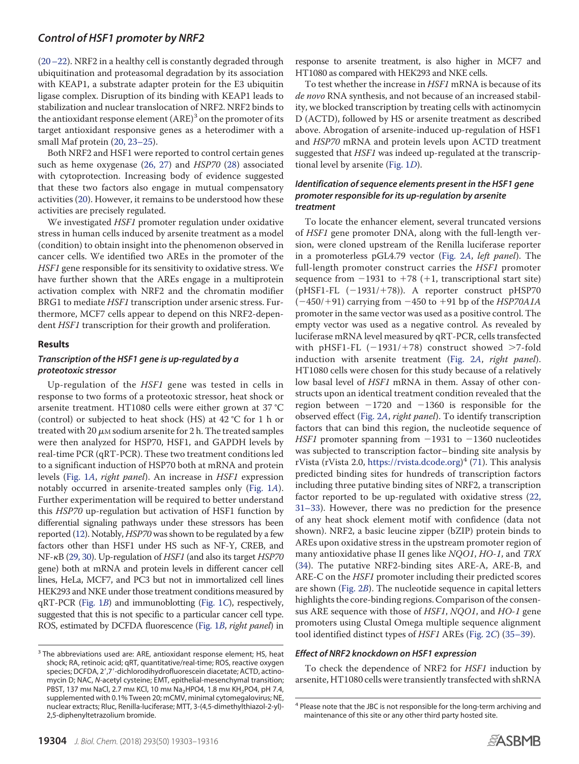[\(20–](#page-12-7)[22\)](#page-12-8). NRF2 in a healthy cell is constantly degraded through ubiquitination and proteasomal degradation by its association with KEAP1, a substrate adapter protein for the E3 ubiquitin ligase complex. Disruption of its binding with KEAP1 leads to stabilization and nuclear translocation of NRF2. NRF2 binds to the antioxidant response element (ARE)<sup>3</sup> on the promoter of its target antioxidant responsive genes as a heterodimer with a small Maf protein (20, 23–25).

Both NRF2 and HSF1 were reported to control certain genes such as heme oxygenase [\(26,](#page-12-9) [27\)](#page-12-10) and HSP70 [\(28\)](#page-12-11) associated with cytoprotection. Increasing body of evidence suggested that these two factors also engage in mutual compensatory activities [\(20\)](#page-12-7). However, it remains to be understood how these activities are precisely regulated.

We investigated HSF1 promoter regulation under oxidative stress in human cells induced by arsenite treatment as a model (condition) to obtain insight into the phenomenon observed in cancer cells. We identified two AREs in the promoter of the HSF1 gene responsible for its sensitivity to oxidative stress. We have further shown that the AREs engage in a multiprotein activation complex with NRF2 and the chromatin modifier BRG1 to mediate HSF1 transcription under arsenic stress. Furthermore, MCF7 cells appear to depend on this NRF2-dependent HSF1 transcription for their growth and proliferation.

### **Results**

# *Transcription of the HSF1 gene is up-regulated by a proteotoxic stressor*

Up-regulation of the HSF1 gene was tested in cells in response to two forms of a proteotoxic stressor, heat shock or arsenite treatment. HT1080 cells were either grown at 37 °C (control) or subjected to heat shock (HS) at 42 °C for 1 h or treated with 20  $\mu$ m sodium arsenite for 2 h. The treated samples were then analyzed for HSP70, HSF1, and GAPDH levels by real-time PCR (qRT-PCR). These two treatment conditions led to a significant induction of HSP70 both at mRNA and protein levels [\(Fig. 1](#page-2-0)[A](#page-2-0), right panel). An increase in HSF1 expression notably occurred in arsenite-treated samples only [\(Fig. 1](#page-2-0)A). Further experimentation will be required to better understand this HSP70 up-regulation but activation of HSF1 function by differential signaling pathways under these stressors has been reported [\(12\)](#page-11-9). Notably, HSP70 was shown to be regulated by a few factors other than HSF1 under HS such as NF-Y, CREB, and NF- $\kappa$ B [\(29,](#page-12-12) [30\)](#page-12-13). Up-regulation of HSF1 (and also its target HSP70 gene) both at mRNA and protein levels in different cancer cell lines, HeLa, MCF7, and PC3 but not in immortalized cell lines HEK293 and NKE under those treatment conditions measured by qRT-PCR [\(Fig. 1](#page-2-0)B) and immunoblotting [\(Fig. 1](#page-2-0)C), respectively, suggested that this is not specific to a particular cancer cell type. ROS, estimated by DCFDA fluorescence [\(Fig. 1](#page-2-0)B, right panel) in

response to arsenite treatment, is also higher in MCF7 and HT1080 as compared with HEK293 and NKE cells.

To test whether the increase in HSF1 mRNA is because of its de novo RNA synthesis, and not because of an increased stability, we blocked transcription by treating cells with actinomycin D (ACTD), followed by HS or arsenite treatment as described above. Abrogation of arsenite-induced up-regulation of HSF1 and HSP70 mRNA and protein levels upon ACTD treatment suggested that HSF1 was indeed up-regulated at the transcriptional level by arsenite [\(Fig. 1](#page-2-0)D).

#### *Identification of sequence elements present in the HSF1 gene promoter responsible for its up-regulation by arsenite treatment*

To locate the enhancer element, several truncated versions of HSF1 gene promoter DNA, along with the full-length version, were cloned upstream of the Renilla luciferase reporter in a promoterless pGL4.79 vector [\(Fig. 2](#page-3-0)A, left panel). The full-length promoter construct carries the *HSF1* promoter sequence from  $-1931$  to  $+78$  ( $+1$ , transcriptional start site) (pHSF1-FL  $(-1931/+78)$ ). A reporter construct pHSP70  $(-450/+91)$  carrying from  $-450$  to  $+91$  bp of the *HSP70A1A* promoter in the same vector was used as a positive control. The empty vector was used as a negative control. As revealed by luciferase mRNA level measured by qRT-PCR, cells transfected with pHSF1-FL  $(-1931/+78)$  construct showed  $>7$ -fold induction with arsenite treatment [\(Fig. 2](#page-3-0)A, right panel). HT1080 cells were chosen for this study because of a relatively low basal level of HSF1 mRNA in them. Assay of other constructs upon an identical treatment condition revealed that the region between  $-1720$  and  $-1360$  is responsible for the observed effect [\(Fig. 2](#page-3-0)A, right panel). To identify transcription factors that can bind this region, the nucleotide sequence of HSF1 promoter spanning from  $-1931$  to  $-1360$  nucleotides was subjected to transcription factor– binding site analysis by rVista (rVista 2.0, https://rvista.dcode.org) 4 [\(71\)](#page-13-0). This analysis predicted binding sites for hundreds of transcription factors including three putative binding sites of NRF2, a transcription factor reported to be up-regulated with oxidative stress (22, 31–33). However, there was no prediction for the presence of any heat shock element motif with confidence (data not shown). NRF2, a basic leucine zipper (bZIP) protein binds to AREs upon oxidative stress in the upstream promoter region of many antioxidative phase II genes like NQO1, HO-1, and TRX [\(34\)](#page-12-14). The putative NRF2-binding sites ARE-A, ARE-B, and ARE-C on the HSF1 promoter including their predicted scores are shown [\(Fig. 2](#page-3-0)B). The nucleotide sequence in capital letters highlights the core-binding regions. Comparison of the consensus ARE sequence with those of HSF1, NQO1, and HO-1 gene promoters using Clustal Omega multiple sequence alignment tool identified distinct types of HSF1 AREs [\(Fig. 2](#page-3-0)C) [\(35–](#page-12-15)[39\)](#page-12-16).

#### *Effect of NRF2 knockdown on HSF1 expression*

To check the dependence of NRF2 for HSF1 induction by arsenite, HT1080 cells were transiently transfected with shRNA



<sup>&</sup>lt;sup>3</sup> The abbreviations used are: ARE, antioxidant response element; HS, heat shock; RA, retinoic acid; qRT, quantitative/real-time; ROS, reactive oxygen species; DCFDA, 2',7'-dichlorodihydrofluorescein diacetate; ACTD, actinomycin D; NAC, *N*-acetyl cysteine; EMT, epithelial-mesenchymal transition; PBST, 137 mm NaCl, 2.7 mm KCl, 10 mm Na<sub>2</sub>HPO4, 1.8 mm KH<sub>2</sub>PO4, pH 7.4, supplemented with 0.1% Tween 20; mCMV, minimal cytomegalovirus; NE, nuclear extracts; Rluc, Renilla-luciferase; MTT, 3-(4,5-dimethylthiazol-2-yl)- 2,5-diphenyltetrazolium bromide.

<sup>&</sup>lt;sup>4</sup> Please note that the JBC is not responsible for the long-term archiving and maintenance of this site or any other third party hosted site.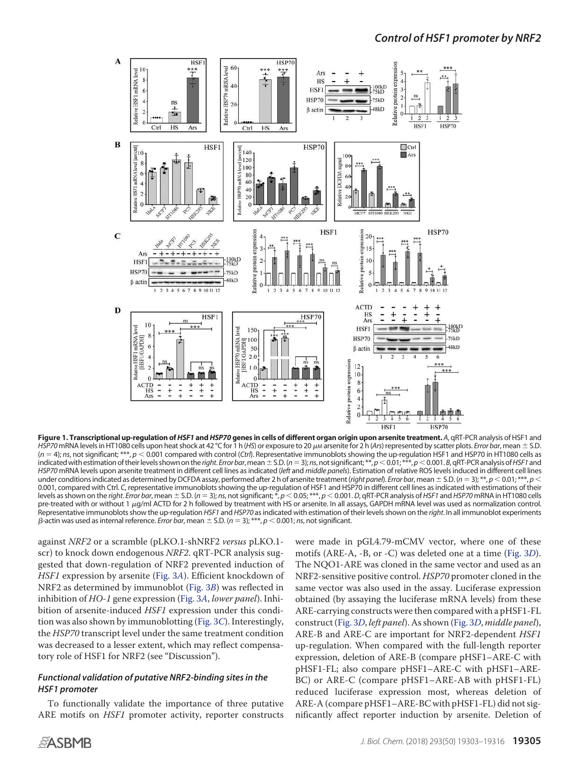<span id="page-2-0"></span>

**Figure 1. Transcriptional up-regulation of***HSF1* **and***HSP70* **genes in cells of different organ origin upon arsenite treatment.** *A*, qRT-PCR analysis of HSF1 and *HSP70* mRNA levels in HT1080 cells upon heat shock at 42 °C for 1 h (*HS*) or exposure to 20  $\mu$ M arsenite for 2 h (*Ars*) represented by scatter plots. *Error bar*, mean  $\pm$  S.D. (*n* 4); *ns*, not significant; \*\*\*, *p* 0.001 compared with control (*Ctrl*). Representative immunoblots showing the up-regulation HSF1 and HSP70 in HT1080 cells as indicated with estimation of their levels shown on the right. *Error bar*, mean  $\pm$  S.D. ( $n=3$ ); ns, not significant;  $^{**}$ ,  $p<0.01$ ;  $^{***}$ ,  $p<0.001$ . B, qRT-PCR analysis of *HSF1* and *HSP70* mRNA levels upon arsenite treatment in different cell lines as indicated (*left* and *middle panels*). Estimation of relative ROS levels induced in different cell lines under conditions indicated as determined by DCFDA assay, performed after 2 h of arsenite treatment (*right panel*). *Error bar*, mean  $\pm$  S.D. (*n* = 3); \*\*, *p* < 0.01; \*\*\*, *p* < 0.001, compared with Ctrl. *C*, representative immunoblots showing the up-regulation of HSF1 and HSP70 in different cell lines as indicated with estimations of their levels as shown on the right. Error bar, mean  $\pm$  S.D. ( $n = 3$ ); ns, not significant; \*,  $p < 0.05$ ; \*\*\*,  $p < 0.001$ . D, qRT-PCR analysis of HSF1 and HSP70 mRNA in HT1080 cells pre-treated with or without 1  $\mu$ g/ml ACTD for 2 h followed by treatment with HS or arsenite. In all assays, GAPDH mRNA level was used as normalization control. Representative immunoblots show the up-regulation *HSF1* and *HSP70* as indicated with estimation of their levels shown on the *right*. In all immunoblot experiments  $\beta$ -actin was used as internal reference. *Error bar*, mean  $\pm$  S.D. ( $n = 3$ ); \*\*\*,  $p < 0.001$ ; *ns*, not significant.

against NRF2 or a scramble (pLKO.1-shNRF2 versus pLKO.1 scr) to knock down endogenous NRF2. qRT-PCR analysis suggested that down-regulation of NRF2 prevented induction of HSF1 expression by arsenite [\(Fig. 3](#page-4-0)A). Efficient knockdown of NRF2 as determined by immunoblot [\(Fig. 3](#page-4-0)B) was reflected in inhibition of HO-1 gene expression [\(Fig. 3](#page-4-0)A, lower panel). Inhibition of arsenite-induced HSF1 expression under this condition was also shown by immunoblotting [\(Fig. 3](#page-4-0)C). Interestingly, the HSP70 transcript level under the same treatment condition was decreased to a lesser extent, which may reflect compensatory role of HSF1 for NRF2 (see "Discussion").

# *Functional validation of putative NRF2-binding sites in the HSF1 promoter*

To functionally validate the importance of three putative ARE motifs on HSF1 promoter activity, reporter constructs were made in pGL4.79-mCMV vector, where one of these motifs (ARE-A, -B, or -C) was deleted one at a time [\(Fig. 3](#page-4-0)D). The NQO1-ARE was cloned in the same vector and used as an NRF2-sensitive positive control. HSP70 promoter cloned in the same vector was also used in the assay. Luciferase expression obtained (by assaying the luciferase mRNA levels) from these ARE-carrying constructs were then compared with a pHSF1-FL construct [\(Fig. 3](#page-4-0)D, left panel). As shown [\(Fig. 3](#page-4-0)D, middle panel), ARE-B and ARE-C are important for NRF2-dependent HSF1 up-regulation. When compared with the full-length reporter expression, deletion of ARE-B (compare pHSF1–ARE-C with pHSF1-FL; also compare pHSF1–ARE-C with pHSF1–ARE-BC) or ARE-C (compare pHSF1–ARE-AB with pHSF1-FL) reduced luciferase expression most, whereas deletion of ARE-A (compare pHSF1–ARE-BC with pHSF1-FL) did not significantly affect reporter induction by arsenite. Deletion of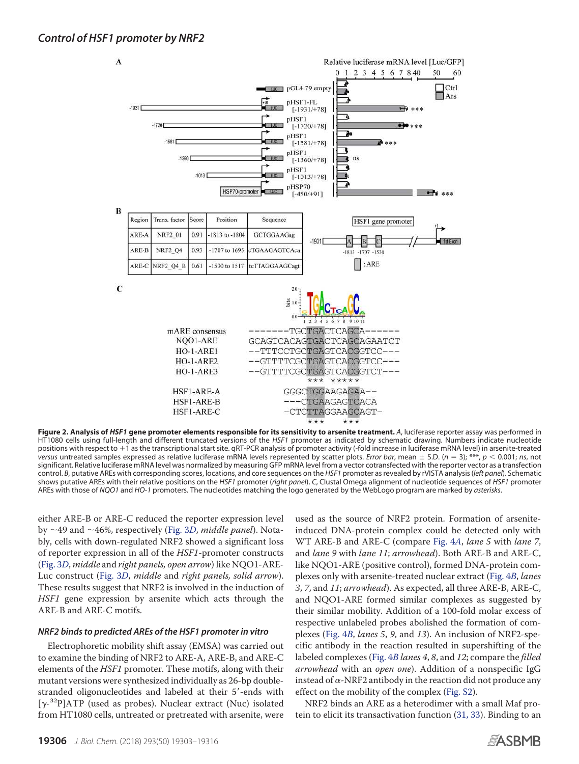<span id="page-3-0"></span>

**Figure 2. Analysis of** *HSF1* **gene promoter elements responsible for its sensitivity to arsenite treatment.** *A*, luciferase reporter assay was performed in HT1080 cells using full-length and different truncated versions of the *HSF1* promoter as indicated by schematic drawing. Numbers indicate nucleotide positions with respect to  $+1$  as the transcriptional start site. qRT-PCR analysis of promoter activity (-fold increase in luciferase mRNA level) in arsenite-treated *versus* untreated samples expressed as relative luciferase mRNA levels represented by scatter plots. *Error bar*, mean  $\pm$  S.D. (*n* = 3); \*\*\*, *p* < 0.001; *ns*, not significant. Relative luciferase mRNA level was normalized by measuring GFP mRNA level from a vector cotransfected with the reporter vector as a transfection control. *B*, putative AREs with corresponding scores, locations, and core sequences on the *HSF1* promoter as revealed by rVISTA analysis (*left panel*). Schematic shows putative AREs with their relative positions on the *HSF1* promoter (*right panel*). *C*, Clustal Omega alignment of nucleotide sequences of *HSF1* promoter AREs with those of *NQO1* and *HO-1* promoters. The nucleotides matching the logo generated by the WebLogo program are marked by *asterisks*.

either ARE-B or ARE-C reduced the reporter expression level by  $\sim$ 49 and  $\sim$ 46%, respectively [\(Fig. 3](#page-4-0)D, middle panel). Notably, cells with down-regulated NRF2 showed a significant loss of reporter expression in all of the HSF1-promoter constructs [\(Fig. 3](#page-4-0)D, middle and right panels, open arrow) like NQO1-ARE-Luc construct [\(Fig. 3](#page-4-0)D, middle and right panels, solid arrow). These results suggest that NRF2 is involved in the induction of HSF1 gene expression by arsenite which acts through the ARE-B and ARE-C motifs.

### *NRF2 binds to predicted AREs of the HSF1 promoter in vitro*

Electrophoretic mobility shift assay (EMSA) was carried out to examine the binding of NRF2 to ARE-A, ARE-B, and ARE-C elements of the HSF1 promoter. These motifs, along with their mutant versions were synthesized individually as 26-bp doublestranded oligonucleotides and labeled at their 5'-ends with [ $\gamma$ -<sup>32</sup>P]ATP (used as probes). Nuclear extract (Nuc) isolated from HT1080 cells, untreated or pretreated with arsenite, were

used as the source of NRF2 protein. Formation of arseniteinduced DNA-protein complex could be detected only with WT ARE-B and ARE-C (compare [Fig. 4](#page-5-0)[A](#page-5-0), lane 5 with lane 7, and lane 9 with lane 11; arrowhead). Both ARE-B and ARE-C, like NQO1-ARE (positive control), formed DNA-protein complexes only with arsenite-treated nuclear extract [\(Fig. 4](#page-5-0)B, lanes 3, 7, and 11; arrowhead). As expected, all three ARE-B, ARE-C, and NQO1-ARE formed similar complexes as suggested by their similar mobility. Addition of a 100-fold molar excess of respective unlabeled probes abolished the formation of complexes [\(Fig. 4](#page-5-0)B, lanes 5, 9, and 13). An inclusion of NRF2-specific antibody in the reaction resulted in supershifting of the labeled complexes [\(Fig. 4](#page-5-0)B lanes 4, 8, and 12; compare the filled arrowhead with an open one). Addition of a nonspecific IgG instead of  $\alpha$ -NRF2 antibody in the reaction did not produce any effect on the mobility of the complex (Fig. S2).

NRF2 binds an ARE as a heterodimer with a small Maf protein to elicit its transactivation function [\(31,](#page-12-17) [33\)](#page-12-18). Binding to an

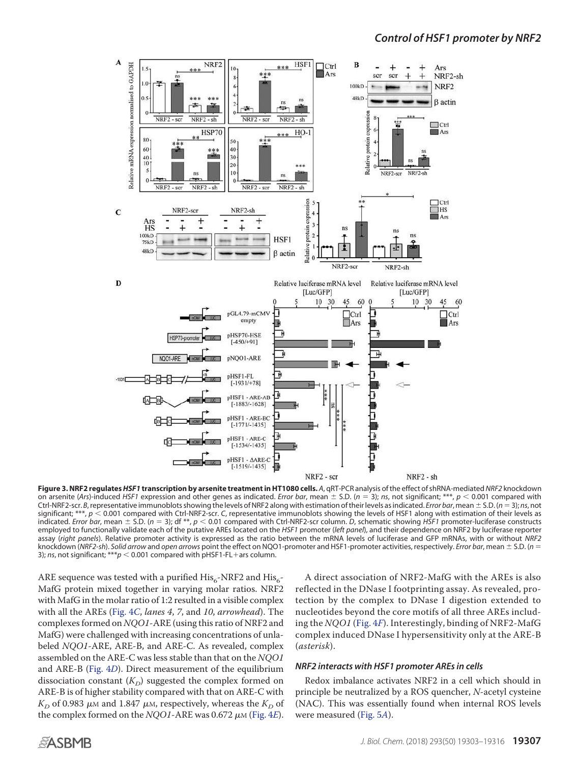<span id="page-4-0"></span>

**Figure 3. NRF2 regulates***HSF1* **transcription by arsenite treatment in HT1080 cells.** *A*, qRT-PCR analysis of the effect of shRNA-mediated *NRF2* knockdown on arsenite (Ars)-induced HSF1 expression and other genes as indicated. *Error bar*, mean  $\pm$  S.D. ( $n = 3$ ); *ns*, not significant; \*\*\*,  $p < 0.001$  compared with Ctrl-NRF2-scr. *B*, representative immunoblots showing the levels of NRF2 along with estimation of their levels as indicated. *Error bar*, mean S.D. (*n* 3); *ns*, not significant; \*\*\*,  $p < 0.001$  compared with Ctrl-NRF2-scr. *C*, representative immunoblots showing the levels of HSF1 along with estimation of their levels as indicated. *Error bar*, mean  $\pm$  S.D. ( $n = 3$ ); df \*\*,  $p < 0.01$  compared with Ctrl-NRF2-scr column. *D*, schematic showing *HSF1* promoter-luciferase constructs employed to functionally validate each of the putative AREs located on the *HSF1* promoter (*left panel*), and their dependence on NRF2 by luciferase reporter assay (*right panels*). Relative promoter activity is expressed as the ratio between the mRNA levels of luciferase and GFP mRNAs, with or without *NRF2* knockdown (*NRF2-sh*). *Solid arrow* and *open arrows* point the effect on NQO1-promoter and HSF1-promoter activities, respectively. *Error bar*, mean S.D. (*n* 3); *ns*, not significant; \*\*\* $p < 0.001$  compared with pHSF1-FL+ars column.

ARE sequence was tested with a purified  $\mathrm{His}_6\text{-} \mathrm{NRF2}$  and  $\mathrm{His}_6\text{-}$ MafG protein mixed together in varying molar ratios. NRF2 with MafG in the molar ratio of 1:2 resulted in a visible complex with all the AREs [\(Fig. 4](#page-5-0)C, lanes 4, 7, and 10, arrowhead). The complexes formed on NQO1-ARE (using this ratio of NRF2 and MafG) were challenged with increasing concentrations of unlabeled NQO1-ARE, ARE-B, and ARE-C. As revealed, complex assembled on the ARE-C was less stable than that on the NQO1 and ARE-B [\(Fig. 4](#page-5-0)D). Direct measurement of the equilibrium dissociation constant  $(K_D)$  suggested the complex formed on ARE-B is of higher stability compared with that on ARE-C with  $K_{\!D}$  of 0.983  $\mu$ м and 1.847  $\mu$ м, respectively, whereas the  $K_{\!D}$  of the complex formed on the  $NQO1$ -ARE was 0.672  $\mu$ M [\(Fig. 4](#page-5-0)E).

A direct association of NRF2-MafG with the AREs is also reflected in the DNase I footprinting assay. As revealed, protection by the complex to DNase I digestion extended to nucleotides beyond the core motifs of all three AREs including the NQO1 [\(Fig. 4](#page-5-0)F). Interestingly, binding of NRF2-MafG complex induced DNase I hypersensitivity only at the ARE-B (asterisk).

### *NRF2 interacts with HSF1 promoter AREs in cells*

Redox imbalance activates NRF2 in a cell which should in principle be neutralized by a ROS quencher, N-acetyl cysteine (NAC). This was essentially found when internal ROS levels were measured [\(Fig. 5](#page-6-0)A).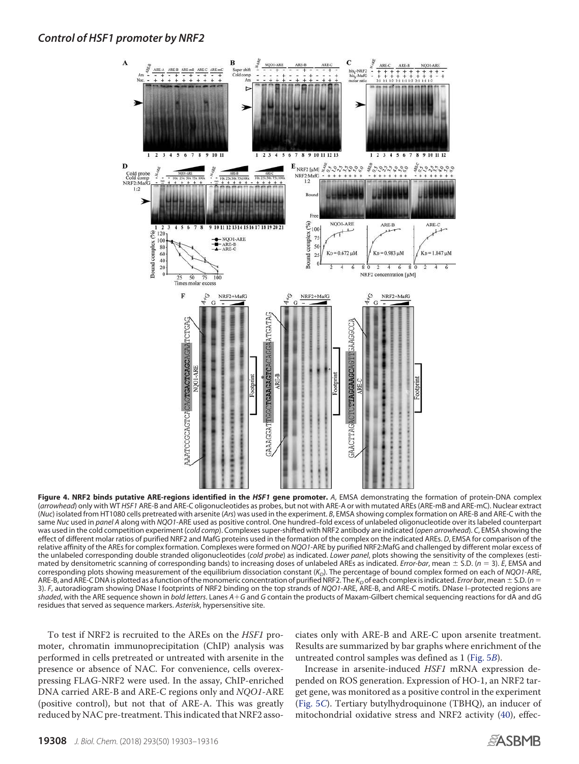<span id="page-5-0"></span>

**Figure 4. NRF2 binds putative ARE-regions identified in the** *HSF1* **gene promoter.** *A*, EMSA demonstrating the formation of protein-DNA complex (*arrowhead*) only with WT *HSF1* ARE-B and ARE-C oligonucleotides as probes, but not with ARE-A or with mutated AREs (ARE-mB and ARE-mC). Nuclear extract (*Nuc*) isolated from HT1080 cells pretreated with arsenite (*Ars*) was used in the experiment. *B*, EMSA showing complex formation on ARE-B and ARE-C with the same *Nuc* used in *panel A* along with *NQO1*-ARE used as positive control. One hundred–fold excess of unlabeled oligonucleotide over its labeled counterpart was used in the cold competition experiment (*cold comp*). Complexes super-shifted with NRF2 antibody are indicated (*open arrowhead*). *C*, EMSA showing the effect of different molar ratios of purified NRF2 and MafG proteins used in the formation of the complex on the indicated AREs. *D*, EMSA for comparison of the relative affinity of the AREs for complex formation. Complexes were formed on *NQO1*-ARE by purified NRF2:MafG and challenged by different molar excess of the unlabeled corresponding double stranded oligonucleotides (*cold probe*) as indicated. *Lower panel*, plots showing the sensitivity of the complexes (estimated by densitometric scanning of corresponding bands) to increasing doses of unlabeled AREs as indicated. *Error-bar*, mean  $\pm$  S.D. ( $n = 3$ ). *E*, EMSA and corresponding plots showing measurement of the equilibrium dissociation constant (*K<sup>D</sup>* ). The percentage of bound complex formed on each of *NQO1*-ARE, ARE-B, and ARE-C DNA is plotted as a function of the monomeric concentration of purified NRF2. The  $K_D$  of each complex is indicated. *Error bar*, mean  $\pm$  S.D. (*n* = 3). *F*, autoradiogram showing DNase I footprints of NRF2 binding on the top strands of *NQO1*-ARE, ARE-B, and ARE-C motifs. DNase I–protected regions are *shaded*, with the ARE sequence shown in *bold letters*. Lanes *AG* and *G* contain the products of Maxam-Gilbert chemical sequencing reactions for dA and dG residues that served as sequence markers. *Asterisk*, hypersensitive site.

To test if NRF2 is recruited to the AREs on the HSF1 promoter, chromatin immunoprecipitation (ChIP) analysis was performed in cells pretreated or untreated with arsenite in the presence or absence of NAC. For convenience, cells overexpressing FLAG-NRF2 were used. In the assay, ChIP-enriched DNA carried ARE-B and ARE-C regions only and NQO1-ARE (positive control), but not that of ARE-A. This was greatly reduced by NAC pre-treatment. This indicated that NRF2 associates only with ARE-B and ARE-C upon arsenite treatment. Results are summarized by bar graphs where enrichment of the untreated control samples was defined as 1 [\(Fig. 5](#page-6-0)B).

Increase in arsenite-induced HSF1 mRNA expression depended on ROS generation. Expression of HO-1, an NRF2 target gene, was monitored as a positive control in the experiment [\(Fig. 5](#page-6-0)C). Tertiary butylhydroquinone (TBHQ), an inducer of mitochondrial oxidative stress and NRF2 activity [\(40\)](#page-12-19), effec-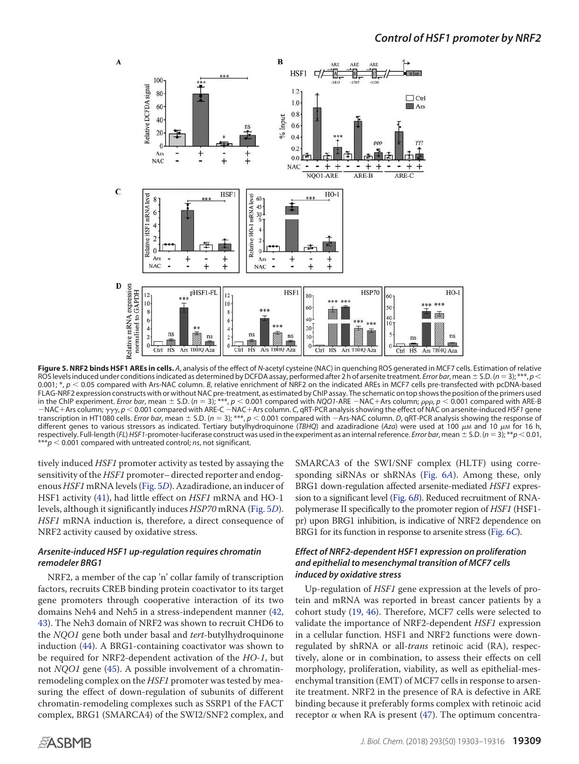<span id="page-6-0"></span>

**Figure 5. NRF2 binds HSF1 AREs in cells.** *A*, analysis of the effect of *N*-acetyl cysteine (NAC) in quenching ROS generated in MCF7 cells. Estimation of relative ROS levels induced under conditions indicated as determined by DCFDA assay, performed after 2 h of arsenite treatment. *Error bar*, mean  $\pm$  S.D. ( $n = 3$ );  $\ast$ 0.001; \*,  $p < 0.05$  compared with Ars-NAC column. *B*, relative enrichment of NRF2 on the indicated AREs in MCF7 cells pre-transfected with pcDNA-based FLAG-NRF2 expression constructs with or without NAC pre-treatment, as estimated by ChIP assay. The schematic on top shows the position of the primers used<br>in the ChIP experiment. *Error bar*, mean ± S.D. (*n* = 3); \*\*\*,  $-NAC+Arg$  column;  $\gamma\gamma\gamma$ ,  $p < 0.001$  compared with ARE-C  $-NAC+Arg$  column. *C*, qRT-PCR analysis showing the effect of NAC on arsenite-induced *HSF1* gene transcription in HT1080 cells. *Error bar*, mean  $\pm$  S.D. ( $n = 3$ ); \*\*\*,  $p < 0.001$  compared with  $-$ Ars-NAC column. *D*, qRT-PCR analysis showing the response of different genes to various stressors as indicated. Tertiary butylhydroquinone (TBHQ) and azadiradione (Az*a*) were used at 100 μm and 10 μm for 16 h, respectively. Full-length (*FL*) *HSF1*-promoter-luciferase construct was used in the experiment as an internal reference. *Error bar*, mean S.D. (*n* 3); \*\**p* 0.01,  $***p$   $<$  0.001 compared with untreated control; *ns*, not significant.

tively induced HSF1 promoter activity as tested by assaying the sensitivity of the HSF1 promoter-directed reporter and endogenous HSF1 mRNA levels [\(Fig. 5](#page-6-0)D). Azadiradione, an inducer of HSF1 activity [\(41\)](#page-12-20), had little effect on HSF1 mRNA and HO-1 levels, although it significantly induces HSP70 mRNA [\(Fig. 5](#page-6-0)D). HSF1 mRNA induction is, therefore, a direct consequence of NRF2 activity caused by oxidative stress.

# *Arsenite-induced HSF1 up-regulation requires chromatin remodeler BRG1*

NRF2, a member of the cap 'n' collar family of transcription factors, recruits CREB binding protein coactivator to its target gene promoters through cooperative interaction of its two domains Neh4 and Neh5 in a stress-independent manner [\(42,](#page-12-21) [43\)](#page-12-22). The Neh3 domain of NRF2 was shown to recruit CHD6 to the *NQO1* gene both under basal and *tert*-butylhydroquinone induction [\(44\)](#page-12-23). A BRG1-containing coactivator was shown to be required for NRF2-dependent activation of the HO-1, but not NQO1 gene [\(45\)](#page-12-24). A possible involvement of a chromatinremodeling complex on the HSF1 promoter was tested by measuring the effect of down-regulation of subunits of different chromatin-remodeling complexes such as SSRP1 of the FACT complex, BRG1 (SMARCA4) of the SWI2/SNF2 complex, and

SMARCA3 of the SWI/SNF complex (HLTF) using corresponding siRNAs or shRNAs [\(Fig. 6](#page-7-0)A). Among these, only BRG1 down-regulation affected arsenite-mediated HSF1 expression to a significant level [\(Fig. 6](#page-7-0)B). Reduced recruitment of RNApolymerase II specifically to the promoter region of HSF1 (HSF1 pr) upon BRG1 inhibition, is indicative of NRF2 dependence on BRG1 for its function in response to arsenite stress [\(Fig. 6](#page-7-0)C).

# *Effect of NRF2-dependent HSF1 expression on proliferation and epithelial to mesenchymal transition of MCF7 cells induced by oxidative stress*

Up-regulation of HSF1 gene expression at the levels of protein and mRNA was reported in breast cancer patients by a cohort study [\(19,](#page-12-6) [46\)](#page-12-25). Therefore, MCF7 cells were selected to validate the importance of NRF2-dependent HSF1 expression in a cellular function. HSF1 and NRF2 functions were downregulated by shRNA or all-trans retinoic acid (RA), respectively, alone or in combination, to assess their effects on cell morphology, proliferation, viability, as well as epithelial-mesenchymal transition (EMT) of MCF7 cells in response to arsenite treatment. NRF2 in the presence of RA is defective in ARE binding because it preferably forms complex with retinoic acid receptor  $\alpha$  when RA is present [\(47\)](#page-12-26). The optimum concentra-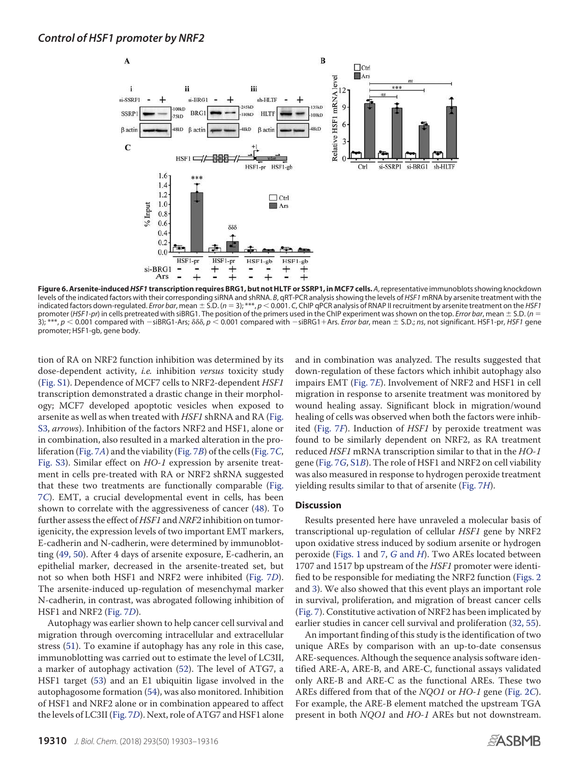<span id="page-7-0"></span>

**Figure 6. Arsenite-induced***HSF1* **transcription requires BRG1, but not HLTF or SSRP1, in MCF7 cells.** *A*, representative immunoblots showing knockdown levels of the indicated factors with their corresponding siRNA and shRNA. *B*, qRT-PCR analysis showing the levels of *HSF1* mRNA by arsenite treatment with the indicated factors down-regulated. *Error bar*, mean  $\pm$  S.D. (*n* = 3); \*\*\*, *p* < 0.001. *C*, ChIP qPCR analysis of RNAP II recruitment by arsenite treatment on the *HSF1* promoter (*HSF1-pr*) in cells pretreated with siBRG1. The position of the primers used in the ChIP experiment was shown on the top. *Error bar*, mean S.D. (*n* 3); \*\*\*,  $p < 0.001$  compared with  $-\text{siBRG1-Ars}$ ,  $\delta \delta \delta$ ,  $p < 0.001$  compared with  $-\text{siBRG1+Ars}$ . *Error bar*, mean  $\pm$  S.D.; *ns*, not significant. HSF1-pr, *HSF1* gene promoter; HSF1-gb, gene body.

tion of RA on NRF2 function inhibition was determined by its dose-dependent activity, *i.e.* inhibition versus toxicity study (Fig. S1). Dependence of MCF7 cells to NRF2-dependent HSF1 transcription demonstrated a drastic change in their morphology; MCF7 developed apoptotic vesicles when exposed to arsenite as well as when treated with HSF1 shRNA and RA (Fig. S3, arrows). Inhibition of the factors NRF2 and HSF1, alone or in combination, also resulted in a marked alteration in the proliferation [\(Fig. 7](#page-8-0)[A](#page-8-0)) and the viability [\(Fig. 7](#page-8-0)B) of the cells [\(Fig. 7](#page-8-0)C, Fig. S3). Similar effect on HO-1 expression by arsenite treatment in cells pre-treated with RA or NRF2 shRNA suggested that these two treatments are functionally comparable [\(Fig.](#page-8-0) 7[C](#page-8-0)). EMT, a crucial developmental event in cells, has been shown to correlate with the aggressiveness of cancer [\(48\)](#page-13-1). To further assess the effect of HSF1 and NRF2 inhibition on tumorigenicity, the expression levels of two important EMT markers, E-cadherin and N-cadherin, were determined by immunoblotting [\(49,](#page-13-2) [50\)](#page-13-3). After 4 days of arsenite exposure, E-cadherin, an epithelial marker, decreased in the arsenite-treated set, but not so when both HSF1 and NRF2 were inhibited [\(Fig. 7](#page-8-0)D). The arsenite-induced up-regulation of mesenchymal marker N-cadherin, in contrast, was abrogated following inhibition of HSF1 and NRF2 [\(Fig. 7](#page-8-0)D).

Autophagy was earlier shown to help cancer cell survival and migration through overcoming intracellular and extracellular stress [\(51\)](#page-13-4). To examine if autophagy has any role in this case, immunoblotting was carried out to estimate the level of LC3II, a marker of autophagy activation [\(52\)](#page-13-5). The level of ATG7, a HSF1 target [\(53\)](#page-13-6) and an E1 ubiquitin ligase involved in the autophagosome formation [\(54\)](#page-13-7), was also monitored. Inhibition of HSF1 and NRF2 alone or in combination appeared to affect the levels of LC3II [\(Fig. 7](#page-8-0)D). Next, role of ATG7 and HSF1 alone and in combination was analyzed. The results suggested that down-regulation of these factors which inhibit autophagy also impairs EMT [\(Fig. 7](#page-8-0)E). Involvement of NRF2 and HSF1 in cell migration in response to arsenite treatment was monitored by wound healing assay. Significant block in migration/wound healing of cells was observed when both the factors were inhibited [\(Fig. 7](#page-8-0)F). Induction of HSF1 by peroxide treatment was found to be similarly dependent on NRF2, as RA treatment reduced HSF1 mRNA transcription similar to that in the HO-1 gene [\(Fig. 7](#page-8-0)G, S1B). The role of HSF1 and NRF2 on cell viability was also measured in response to hydrogen peroxide treatment yielding results similar to that of arsenite [\(Fig. 7](#page-8-0)H).

#### **Discussion**

Results presented here have unraveled a molecular basis of transcriptional up-regulation of cellular HSF1 gene by NRF2 upon oxidative stress induced by sodium arsenite or hydrogen peroxide [\(Figs. 1](#page-2-0) and [7,](#page-8-0) G [and](#page-8-0) H). Two AREs located between 1707 and 1517 bp upstream of the HSF1 promoter were identified to be responsible for mediating the NRF2 function [\(Figs. 2](#page-3-0) and [3\)](#page-4-0). We also showed that this event plays an important role in survival, proliferation, and migration of breast cancer cells [\(Fig. 7\)](#page-8-0). Constitutive activation of NRF2 has been implicated by earlier studies in cancer cell survival and proliferation [\(32,](#page-12-27) [55\)](#page-13-8).

An important finding of this study is the identification of two unique AREs by comparison with an up-to-date consensus ARE-sequences. Although the sequence analysis software identified ARE-A, ARE-B, and ARE-C, functional assays validated only ARE-B and ARE-C as the functional AREs. These two AREs differed from that of the NQO1 or HO-1 gene [\(Fig. 2](#page-3-0)C). For example, the ARE-B element matched the upstream TGA present in both NQO1 and HO-1 AREs but not downstream.

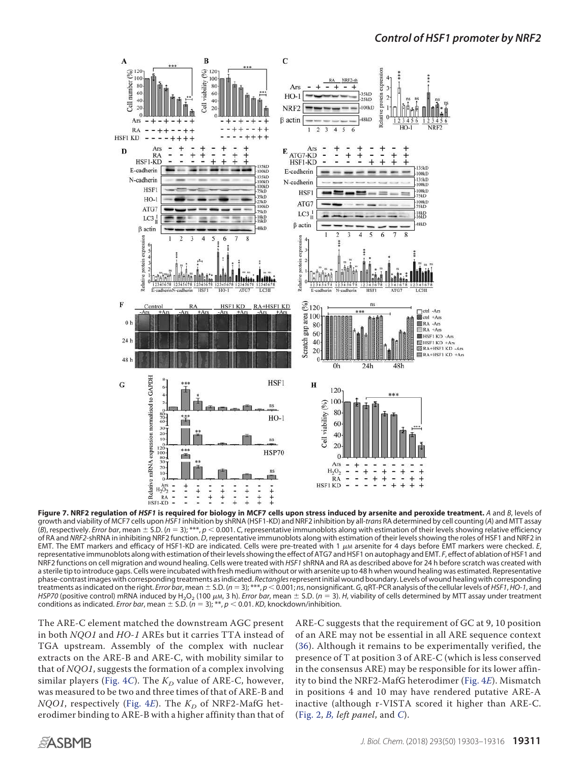<span id="page-8-0"></span>

**Figure 7. NRF2 regulation of** *HSF1* **is required for biology in MCF7 cells upon stress induced by arsenite and peroxide treatment.** *A* and *B*, levels of growth and viability of MCF7 cells upon *HSF1* inhibition by shRNA (HSF1-KD) and NRF2 inhibition by all-*trans* RA determined by cell counting (*A*) and MTT assay  $(B)$ , respectively. *Error bar*, mean  $\pm$  S.D. ( $n=3$ ); \*\*\*,  $p < 0.001$ . *C*, representative immunoblots along with estimation of their levels showing relative efficiency of RA and *NRF2*-shRNA in inhibiting NRF2 function. *D*, representative immunoblots along with estimation of their levels showing the roles of HSF1 and NRF2 in EMT. The EMT markers and efficacy of HSF1-KD are indicated. Cells were pre-treated with 1  $\mu$ m arsenite for 4 days before EMT markers were checked. E, representative immunoblots along with estimation of their levels showing the effect of ATG7 and HSF1 on autophagy and EMT. *F*, effect of ablation of HSF1 and NRF2 functions on cell migration and wound healing. Cells were treated with *HSF1* shRNA and RA as described above for 24 h before scratch was created with a sterile tip to introduce gaps. Cells were incubated with fresh medium without or with arsenite up to 48 h when wound healing was estimated. Representative phase-contrast images with corresponding treatments as indicated. *Rectangles*represent initial wound boundary. Levels of wound healing with corresponding treatments as indicated on the right. *Error bar*, mean S.D. (*n* 3); \*\*\*, *p* 0.001; *ns*, nonsignificant. *G*, qRT-PCR analysis of the cellular levels of *HSF1*, *HO-1*, and HSP70 (positive control) mRNA induced by H<sub>2</sub>O<sub>2</sub> (100 µm, 3 h). *Error bar*, mean  $\pm$  S.D. (*n* = 3). *H*, viability of cells determined by MTT assay under treatment conditions as indicated. *Error bar*, mean  $\pm$  S.D. ( $n = 3$ ); \*\*,  $p < 0.01$ . *KD*, knockdown/inhibition.

The ARE-C element matched the downstream AGC present in both NQO1 and HO-1 AREs but it carries TTA instead of TGA upstream. Assembly of the complex with nuclear extracts on the ARE-B and ARE-C, with mobility similar to that of NQO1, suggests the formation of a complex involving similar players [\(Fig. 4](#page-5-0)C). The  $K_{\!D}$  value of ARE-C, however, was measured to be two and three times of that of ARE-B and NQO1, respectively [\(Fig. 4](#page-5-0)E). The  $K_D$  of NRF2-MafG heterodimer binding to ARE-B with a higher affinity than that of

ARE-C suggests that the requirement of GC at 9, 10 position of an ARE may not be essential in all ARE sequence context [\(36\)](#page-12-28). Although it remains to be experimentally verified, the presence of T at position 3 of ARE-C (which is less conserved in the consensus ARE) may be responsible for its lower affinity to bind the NRF2-MafG heterodimer [\(Fig. 4](#page-5-0)E). Mismatch in positions 4 and 10 may have rendered putative ARE-A inactive (although r-VISTA scored it higher than ARE-C. [\(Fig. 2,](#page-3-0)  $B$ , *left panel*, and  $C$ ).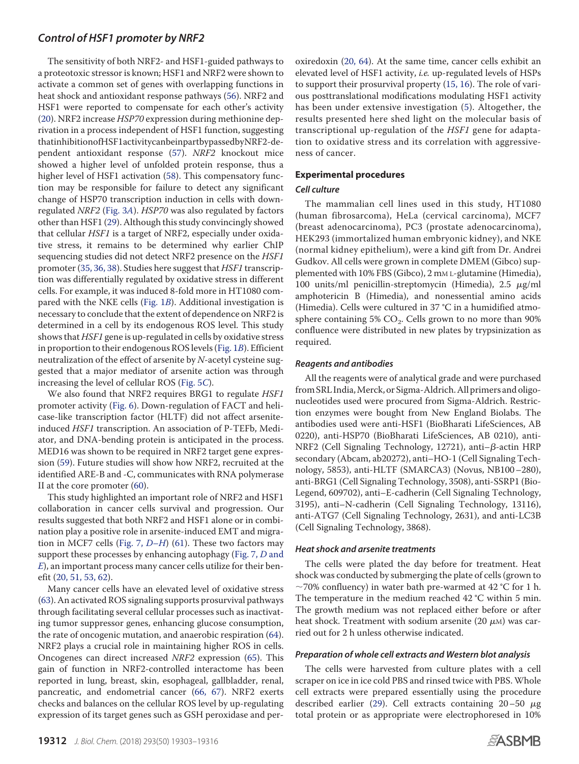The sensitivity of both NRF2- and HSF1-guided pathways to a proteotoxic stressor is known; HSF1 and NRF2 were shown to activate a common set of genes with overlapping functions in heat shock and antioxidant response pathways [\(56\)](#page-13-9). NRF2 and HSF1 were reported to compensate for each other's activity [\(20\)](#page-12-7). NRF2 increase HSP70 expression during methionine deprivation in a process independent of HSF1 function, suggesting thatinhibitionofHSF1activitycanbeinpartbypassedbyNRF2-dependent antioxidant response [\(57\)](#page-13-10). NRF2 knockout mice showed a higher level of unfolded protein response, thus a higher level of HSF1 activation [\(58\)](#page-13-11). This compensatory function may be responsible for failure to detect any significant change of HSP70 transcription induction in cells with downregulated NRF2 [\(Fig. 3](#page-4-0)A). HSP70 was also regulated by factors other than HSF1 [\(29\)](#page-12-12). Although this study convincingly showed that cellular HSF1 is a target of NRF2, especially under oxidative stress, it remains to be determined why earlier ChIP sequencing studies did not detect NRF2 presence on the HSF1 promoter [\(35,](#page-12-15) [36,](#page-12-28) [38\)](#page-12-29). Studies here suggest that HSF1 transcription was differentially regulated by oxidative stress in different cells. For example, it was induced 8-fold more in HT1080 compared with the NKE cells [\(Fig. 1](#page-2-0)B). Additional investigation is necessary to conclude that the extent of dependence on NRF2 is determined in a cell by its endogenous ROS level. This study shows that HSF1 gene is up-regulated in cells by oxidative stress in proportion to their endogenous ROS levels [\(Fig. 1](#page-2-0)B). Efficient neutralization of the effect of arsenite by N-acetyl cysteine suggested that a major mediator of arsenite action was through increasing the level of cellular ROS [\(Fig. 5](#page-6-0)C).

We also found that NRF2 requires BRG1 to regulate *HSF1* promoter activity [\(Fig. 6\)](#page-7-0). Down-regulation of FACT and helicase-like transcription factor (HLTF) did not affect arseniteinduced HSF1 transcription. An association of P-TEFb, Mediator, and DNA-bending protein is anticipated in the process. MED16 was shown to be required in NRF2 target gene expression [\(59\)](#page-13-12). Future studies will show how NRF2, recruited at the identified ARE-B and -C, communicates with RNA polymerase II at the core promoter [\(60\)](#page-13-13).

This study highlighted an important role of NRF2 and HSF1 collaboration in cancer cells survival and progression. Our results suggested that both NRF2 and HSF1 alone or in combination play a positive role in arsenite-induced EMT and migra-tion in MCF7 cells [\(Fig. 7,](#page-8-0) D-H) [\(61\)](#page-13-14). These two factors may support these processes by enhancing autophagy [\(Fig. 7,](#page-8-0) D and [E](#page-8-0)), an important process many cancer cells utilize for their benefit (20, 51, 53, 62).

Many cancer cells have an elevated level of oxidative stress [\(63\)](#page-13-15). An activated ROS signaling supports prosurvival pathways through facilitating several cellular processes such as inactivating tumor suppressor genes, enhancing glucose consumption, the rate of oncogenic mutation, and anaerobic respiration [\(64\)](#page-13-16). NRF2 plays a crucial role in maintaining higher ROS in cells. Oncogenes can direct increased NRF2 expression [\(65\)](#page-13-17). This gain of function in NRF2-controlled interactome has been reported in lung, breast, skin, esophageal, gallbladder, renal, pancreatic, and endometrial cancer [\(66,](#page-13-18) [67\)](#page-13-19). NRF2 exerts checks and balances on the cellular ROS level by up-regulating expression of its target genes such as GSH peroxidase and peroxiredoxin [\(20,](#page-12-7) [64\)](#page-13-16). At the same time, cancer cells exhibit an elevated level of HSF1 activity, i.e. up-regulated levels of HSPs to support their prosurvival property [\(15,](#page-12-2) [16\)](#page-12-3). The role of various posttranslational modifications modulating HSF1 activity has been under extensive investigation [\(5\)](#page-11-10). Altogether, the results presented here shed light on the molecular basis of transcriptional up-regulation of the HSF1 gene for adaptation to oxidative stress and its correlation with aggressiveness of cancer.

## **Experimental procedures**

### *Cell culture*

The mammalian cell lines used in this study, HT1080 (human fibrosarcoma), HeLa (cervical carcinoma), MCF7 (breast adenocarcinoma), PC3 (prostate adenocarcinoma), HEK293 (immortalized human embryonic kidney), and NKE (normal kidney epithelium), were a kind gift from Dr. Andrei Gudkov. All cells were grown in complete DMEM (Gibco) supplemented with 10% FBS (Gibco), 2 mM L-glutamine (Himedia), 100 units/ml penicillin-streptomycin (Himedia),  $2.5 \mu g/ml$ amphotericin B (Himedia), and nonessential amino acids (Himedia). Cells were cultured in 37 °C in a humidified atmosphere containing 5%  $CO<sub>2</sub>$ . Cells grown to no more than 90% confluence were distributed in new plates by trypsinization as required.

### *Reagents and antibodies*

All the reagents were of analytical grade and were purchased from SRL India, Merck, or Sigma-Aldrich. All primers and oligonucleotides used were procured from Sigma-Aldrich. Restriction enzymes were bought from New England Biolabs. The antibodies used were anti-HSF1 (BioBharati LifeSciences, AB 0220), anti-HSP70 (BioBharati LifeSciences, AB 0210), anti-NRF2 (Cell Signaling Technology, 12721), anti- $\beta$ -actin HRP secondary (Abcam, ab20272), anti–HO-1 (Cell Signaling Technology, 5853), anti-HLTF (SMARCA3) (Novus, NB100–280), anti-BRG1 (Cell Signaling Technology, 3508), anti-SSRP1 (Bio-Legend, 609702), anti–E-cadherin (Cell Signaling Technology, 3195), anti–N-cadherin (Cell Signaling Technology, 13116), anti-ATG7 (Cell Signaling Technology, 2631), and anti-LC3B (Cell Signaling Technology, 3868).

#### *Heat shock and arsenite treatments*

The cells were plated the day before for treatment. Heat shock was conducted by submerging the plate of cells (grown to  $\sim$ 70% confluency) in water bath pre-warmed at 42 °C for 1 h. The temperature in the medium reached 42 °C within 5 min. The growth medium was not replaced either before or after heat shock. Treatment with sodium arsenite (20  $\mu$ м) was carried out for 2 h unless otherwise indicated.

#### *Preparation of whole cell extracts and Western blot analysis*

The cells were harvested from culture plates with a cell scraper on ice in ice cold PBS and rinsed twice with PBS. Whole cell extracts were prepared essentially using the procedure described earlier [\(29\)](#page-12-12). Cell extracts containing  $20-50 \mu$ g total protein or as appropriate were electrophoresed in 10%

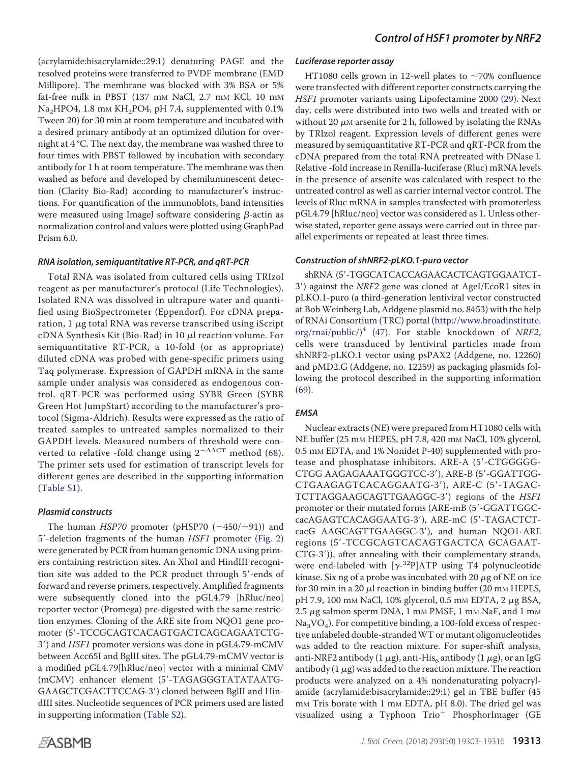(acrylamide:bisacrylamide::29:1) denaturing PAGE and the resolved proteins were transferred to PVDF membrane (EMD Millipore). The membrane was blocked with 3% BSA or 5% fat-free milk in PBST (137 mm NaCl, 2.7 mm KCl, 10 mm Na<sub>2</sub>HPO4, 1.8 m<sub>M</sub> KH<sub>2</sub>PO4, pH 7.4, supplemented with 0.1% Tween 20) for 30 min at room temperature and incubated with a desired primary antibody at an optimized dilution for overnight at 4 °C. The next day, the membrane was washed three to four times with PBST followed by incubation with secondary antibody for 1 h at room temperature. The membrane was then washed as before and developed by chemiluminescent detection (Clarity Bio-Rad) according to manufacturer's instructions. For quantification of the immunoblots, band intensities were measured using ImageJ software considering  $\beta$ -actin as normalization control and values were plotted using GraphPad Prism 6.0.

#### *RNA isolation, semiquantitative RT-PCR, and qRT-PCR*

Total RNA was isolated from cultured cells using TRIzol reagent as per manufacturer's protocol (Life Technologies). Isolated RNA was dissolved in ultrapure water and quantified using BioSpectrometer (Eppendorf). For cDNA preparation, 1  $\mu$ g total RNA was reverse transcribed using iScript cDNA Synthesis Kit (Bio-Rad) in 10  $\mu$ l reaction volume. For semiquantitative RT-PCR, a 10-fold (or as appropriate) diluted cDNA was probed with gene-specific primers using Taq polymerase. Expression of GAPDH mRNA in the same sample under analysis was considered as endogenous control. qRT-PCR was performed using SYBR Green (SYBR Green Hot JumpStart) according to the manufacturer's protocol (Sigma-Aldrich). Results were expressed as the ratio of treated samples to untreated samples normalized to their GAPDH levels. Measured numbers of threshold were converted to relative -fold change using  $2^{-\Delta\Delta CT}$  method [\(68\)](#page-13-20). The primer sets used for estimation of transcript levels for different genes are described in the supporting information (Table S1).

### *Plasmid constructs*

The human  $HSP70$  promoter (pHSP70  $(-450/+91)$ ) and 5--deletion fragments of the human HSF1 promoter [\(Fig. 2\)](#page-3-0) were generated by PCR from human genomic DNA using primers containing restriction sites. An XhoI and HindIII recognition site was added to the PCR product through 5'-ends of forward and reverse primers, respectively. Amplified fragments were subsequently cloned into the pGL4.79 [hRluc/neo] reporter vector (Promega) pre-digested with the same restriction enzymes. Cloning of the ARE site from NQO1 gene promoter (5--TCCGCAGTCACAGTGACTCAGCAGAATCTG-3') and HSF1 promoter versions was done in pGL4.79-mCMV between Acc65I and BglII sites. The pGL4.79-mCMV vector is a modified pGL4.79[hRluc/neo] vector with a minimal CMV (mCMV) enhancer element (5'-TAGAGGGTATATAATG-GAAGCTCGACTTCCAG-3') cloned between BglII and HindIII sites. Nucleotide sequences of PCR primers used are listed in supporting information (Table S2).

#### *Luciferase reporter assay*

HT1080 cells grown in 12-well plates to  $\sim$ 70% confluence were transfected with different reporter constructs carrying the HSF1 promoter variants using Lipofectamine 2000 [\(29\)](#page-12-12). Next day, cells were distributed into two wells and treated with or without 20  $\mu$ м arsenite for 2 h, followed by isolating the RNAs by TRIzol reagent. Expression levels of different genes were measured by semiquantitative RT-PCR and qRT-PCR from the cDNA prepared from the total RNA pretreated with DNase I. Relative -fold increase in Renilla-luciferase (Rluc) mRNA levels in the presence of arsenite was calculated with respect to the untreated control as well as carrier internal vector control. The levels of Rluc mRNA in samples transfected with promoterless pGL4.79 [hRluc/neo] vector was considered as 1. Unless otherwise stated, reporter gene assays were carried out in three parallel experiments or repeated at least three times.

### *Construction of shNRF2-pLKO.1-puro vector*

shRNA (5'-TGGCATCACCAGAACACTCAGTGGAATCT-3') against the NRF2 gene was cloned at AgeI/EcoR1 sites in pLKO.1-puro (a third-generation lentiviral vector constructed at Bob Weinberg Lab, Addgene plasmid no. 8453) with the help of RNAi Consortium (TRC) portal (http://www.broadinstitute. org/rnai/public/)<sup>4</sup> [\(47\)](#page-12-26). For stable knockdown of NRF2, cells were transduced by lentiviral particles made from shNRF2-pLKO.1 vector using psPAX2 (Addgene, no. 12260) and pMD2.G (Addgene, no. 12259) as packaging plasmids following the protocol described in the supporting information [\(69\)](#page-13-21).

### *EMSA*

Nuclear extracts (NE) were prepared from HT1080 cells with NE buffer (25 mM HEPES, pH 7.8, 420 mM NaCl, 10% glycerol, 0.5 mm EDTA, and 1% Nonidet P-40) supplemented with protease and phosphatase inhibitors. ARE-A (5'-CTGGGGG-CTGG AAGAGAAATGGGTCC-3'), ARE-B (5'-GGATTGG-CTGAAGAGTCACAGGAATG-3'), ARE-C (5'-TAGAC-TCTTAGGAAGCAGTTGAAGGC-3') regions of the HSF1 promoter or their mutated forms (ARE-mB (5'-GGATTGGC-.<br>cacAGAGTCACAGGAATG-3'), ARE-mC (5'-TAGACTCTcacG AAGCAGTTGAAGGC-3'), and human NQO1-ARE regions (5--TCCGCAGTCACAGTGACTCA GCAGAAT-CTG-3')), after annealing with their complementary strands, were end-labeled with  $[\gamma^{-32}P]ATP$  using T4 polynucleotide kinase. Six ng of a probe was incubated with 20  $\mu$ g of NE on ice for 30 min in a 20  $\mu$ l reaction in binding buffer (20 mm HEPES, pH 7.9, 100 mm NaCl, 10% glycerol, 0.5 mm EDTA, 2 μg BSA, 2.5  $\mu$ g salmon sperm DNA, 1 mм PMSF, 1 mм NaF, and 1 mм  $\rm Na_{3}VO_{4}$ ). For competitive binding, a 100-fold excess of respective unlabeled double-strandedWT or mutant oligonucleotides was added to the reaction mixture. For super-shift analysis, anti-NRF2 antibody (1  $\mu$ g), anti-His $_6$  antibody (1  $\mu$ g), or an IgG antibody (1  $\mu$ g) was added to the reaction mixture. The reaction products were analyzed on a 4% nondenaturating polyacrylamide (acrylamide:bisacrylamide::29:1) gel in TBE buffer (45 mM Tris borate with 1 mM EDTA, pH 8.0). The dried gel was visualized using a Typhoon Trio<sup>+</sup> PhosphorImager (GE

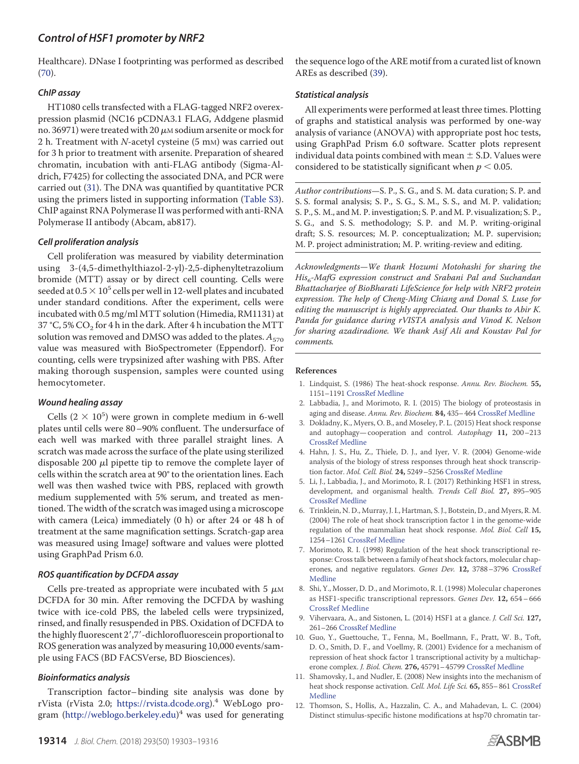Healthcare). DNase I footprinting was performed as described [\(70\)](#page-13-22).

# *ChIP assay*

HT1080 cells transfected with a FLAG-tagged NRF2 overexpression plasmid (NC16 pCDNA3.1 FLAG, Addgene plasmid no. 36971) were treated with 20  $\mu$ м sodium arsenite or mock for 2 h. Treatment with  $N$ -acetyl cysteine (5 mm) was carried out for 3 h prior to treatment with arsenite. Preparation of sheared chromatin, incubation with anti-FLAG antibody (Sigma-Aldrich, F7425) for collecting the associated DNA, and PCR were carried out [\(31\)](#page-12-17). The DNA was quantified by quantitative PCR using the primers listed in supporting information (Table S3). ChIP against RNA Polymerase II was performed with anti-RNA Polymerase II antibody (Abcam, ab817).

# *Cell proliferation analysis*

Cell proliferation was measured by viability determination using 3-(4,5-dimethylthiazol-2-yl)-2,5-diphenyltetrazolium bromide (MTT) assay or by direct cell counting. Cells were seeded at  $0.5 \times 10^5$  cells per well in 12-well plates and incubated under standard conditions. After the experiment, cells were incubated with 0.5 mg/ml MTT solution (Himedia, RM1131) at 37 °C, 5% CO $_{\rm 2}$  for 4 h in the dark. After 4 h incubation the MTT solution was removed and DMSO was added to the plates.  $A_{570}$ value was measured with BioSpectrometer (Eppendorf). For counting, cells were trypsinized after washing with PBS. After making thorough suspension, samples were counted using hemocytometer.

# *Wound healing assay*

Cells  $(2 \times 10^5)$  were grown in complete medium in 6-well plates until cells were 80–90% confluent. The undersurface of each well was marked with three parallel straight lines. A scratch was made across the surface of the plate using sterilized disposable 200  $\mu$ l pipette tip to remove the complete layer of cells within the scratch area at 90° to the orientation lines. Each well was then washed twice with PBS, replaced with growth medium supplemented with 5% serum, and treated as mentioned. The width of the scratch was imaged using a microscope with camera (Leica) immediately (0 h) or after 24 or 48 h of treatment at the same magnification settings. Scratch-gap area was measured using ImageJ software and values were plotted using GraphPad Prism 6.0.

# *ROS quantification by DCFDA assay*

Cells pre-treated as appropriate were incubated with 5  $\mu$ M DCFDA for 30 min. After removing the DCFDA by washing twice with ice-cold PBS, the labeled cells were trypsinized, rinsed, and finally resuspended in PBS. Oxidation of DCFDA to the highly fluorescent 2',7'-dichlorofluorescein proportional to ROS generation was analyzed by measuring 10,000 events/sample using FACS (BD FACSVerse, BD Biosciences).

# *Bioinformatics analysis*

Transcription factor– binding site analysis was done by rVista (rVista 2.0; https://rvista.dcode.org).<sup>4</sup> WebLogo program (http://weblogo.berkeley.edu) <sup>4</sup> was used for generating

the sequence logo of the ARE motif from a curated list of known AREs as described [\(39\)](#page-12-16).

# *Statistical analysis*

All experiments were performed at least three times. Plotting of graphs and statistical analysis was performed by one-way analysis of variance (ANOVA) with appropriate post hoc tests, using GraphPad Prism 6.0 software. Scatter plots represent individual data points combined with mean  $\pm$  S.D. Values were considered to be statistically significant when  $p < 0.05$ .

Author contributions—S. P., S. G., and S. M. data curation; S. P. and S. S. formal analysis; S. P., S. G., S. M., S. S., and M. P. validation; S. P., S. M., and M. P. investigation; S. P. and M. P. visualization; S. P., S. G., and S. S. methodology; S. P. and M. P. writing-original draft; S. S. resources; M. P. conceptualization; M. P. supervision; M. P. project administration; M. P. writing-review and editing.

Acknowledgments—We thank Hozumi Motohashi for sharing the His<sub>6</sub>-MafG expression construct and Srabani Pal and Suchandan Bhattacharjee of BioBharati LifeScience for help with NRF2 protein expression. The help of Cheng-Ming Chiang and Donal S. Luse for editing the manuscript is highly appreciated. Our thanks to Abir K. Panda for guidance during rVISTA analysis and Vinod K. Nelson for sharing azadiradione. We thank Asif Ali and Koustav Pal for comments.

### **References**

- <span id="page-11-0"></span>1. Lindquist, S. (1986) The heat-shock response. Annu. Rev. Biochem. **55,** 1151–1191 CrossRef Medline
- 2. Labbadia, J., and Morimoto, R. I. (2015) The biology of proteostasis in aging and disease. Annu. Rev. Biochem. **84,** 435–464 CrossRef Medline
- <span id="page-11-1"></span>3. Dokladny, K., Myers, O. B., and Moseley, P. L. (2015) Heat shock response and autophagy— cooperation and control. Autophagy **11,** 200–213 CrossRef Medline
- <span id="page-11-2"></span>4. Hahn, J. S., Hu, Z., Thiele, D. J., and Iyer, V. R. (2004) Genome-wide analysis of the biology of stress responses through heat shock transcription factor. Mol. Cell. Biol. **24,** 5249–5256 CrossRef Medline
- <span id="page-11-10"></span>5. Li, J., Labbadia, J., and Morimoto, R. I. (2017) Rethinking HSF1 in stress, development, and organismal health. Trends Cell Biol. **27,** 895–905 CrossRef Medline
- <span id="page-11-3"></span>6. Trinklein, N. D., Murray, J. I., Hartman, S. J., Botstein, D., and Myers, R. M. (2004) The role of heat shock transcription factor 1 in the genome-wide regulation of the mammalian heat shock response. Mol. Biol. Cell **15,** 1254–1261 CrossRef Medline
- <span id="page-11-4"></span>7. Morimoto, R. I. (1998) Regulation of the heat shock transcriptional response: Cross talk between a family of heat shock factors, molecular chaperones, and negative regulators. Genes Dev. **12,** 3788–3796 CrossRef Medline
- <span id="page-11-5"></span>8. Shi, Y., Mosser, D. D., and Morimoto, R. I. (1998) Molecular chaperones as HSF1-specific transcriptional repressors. Genes Dev. **12,** 654–666 CrossRef Medline
- <span id="page-11-6"></span>9. Vihervaara, A., and Sistonen, L. (2014) HSF1 at a glance. J. Cell Sci. **127,** 261–266 CrossRef Medline
- <span id="page-11-7"></span>10. Guo, Y., Guettouche, T., Fenna, M., Boellmann, F., Pratt, W. B., Toft, D. O., Smith, D. F., and Voellmy, R. (2001) Evidence for a mechanism of repression of heat shock factor 1 transcriptional activity by a multichaperone complex. J. Biol. Chem. **276,** 45791–45799 CrossRef Medline
- <span id="page-11-8"></span>11. Shamovsky, I., and Nudler, E. (2008) New insights into the mechanism of heat shock response activation. Cell. Mol. Life Sci. **65,** 855–861 CrossRef Medline
- <span id="page-11-9"></span>12. Thomson, S., Hollis, A., Hazzalin, C. A., and Mahadevan, L. C. (2004) Distinct stimulus-specific histone modifications at hsp70 chromatin tar-

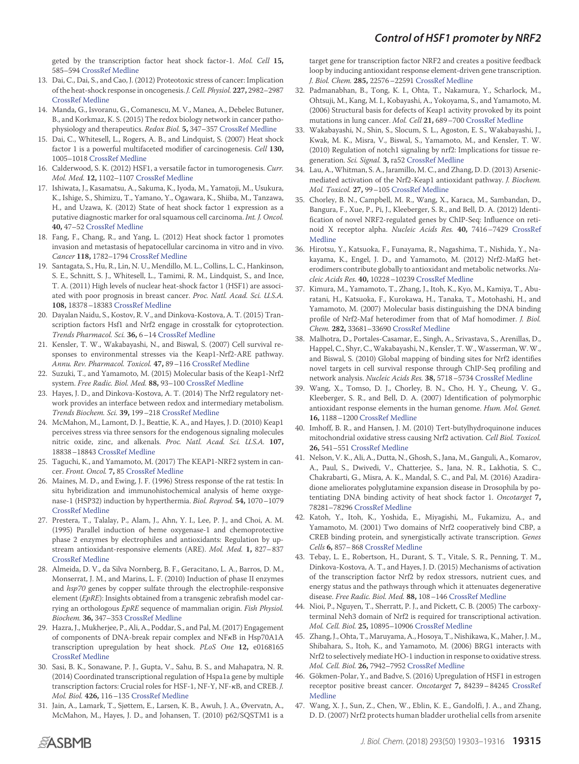geted by the transcription factor heat shock factor-1. Mol. Cell **15,** 585–594 CrossRef Medline

- <span id="page-12-0"></span>13. Dai, C., Dai, S., and Cao, J. (2012) Proteotoxic stress of cancer: Implication of the heat-shock response in oncogenesis. J. Cell. Physiol. **227,** 2982–2987 CrossRef Medline
- <span id="page-12-1"></span>14. Manda, G., Isvoranu, G., Comanescu, M. V., Manea, A., Debelec Butuner, B., and Korkmaz, K. S. (2015) The redox biology network in cancer pathophysiology and therapeutics. Redox Biol. **5,** 347–357 CrossRef Medline
- <span id="page-12-2"></span>15. Dai, C., Whitesell, L., Rogers, A. B., and Lindquist, S. (2007) Heat shock factor 1 is a powerful multifaceted modifier of carcinogenesis. Cell **130,** 1005–1018 CrossRef Medline
- <span id="page-12-3"></span>16. Calderwood, S. K. (2012) HSF1, a versatile factor in tumorogenesis. Curr. Mol. Med. **12,** 1102–1107 CrossRef Medline
- <span id="page-12-4"></span>17. Ishiwata, J., Kasamatsu, A., Sakuma, K., Iyoda, M., Yamatoji, M., Usukura, K., Ishige, S., Shimizu, T., Yamano, Y., Ogawara, K., Shiiba, M., Tanzawa, H., and Uzawa, K. (2012) State of heat shock factor 1 expression as a putative diagnostic marker for oral squamous cell carcinoma. Int. J. Oncol. **40,** 47–52 CrossRef Medline
- <span id="page-12-5"></span>18. Fang, F., Chang, R., and Yang, L. (2012) Heat shock factor 1 promotes invasion and metastasis of hepatocellular carcinoma in vitro and in vivo. Cancer **118,** 1782–1794 CrossRef Medline
- <span id="page-12-6"></span>19. Santagata, S., Hu, R., Lin, N. U., Mendillo, M. L., Collins, L. C., Hankinson, S. E., Schnitt, S. J., Whitesell, L., Tamimi, R. M., Lindquist, S., and Ince, T. A. (2011) High levels of nuclear heat-shock factor 1 (HSF1) are associated with poor prognosis in breast cancer. Proc. Natl. Acad. Sci. U.S.A. **108,** 18378–18383 CrossRef Medline
- <span id="page-12-7"></span>20. Dayalan Naidu, S., Kostov, R. V., and Dinkova-Kostova, A. T. (2015) Transcription factors Hsf1 and Nrf2 engage in crosstalk for cytoprotection. Trends Pharmacol. Sci. **36,** 6–14 CrossRef Medline
- 21. Kensler, T. W., Wakabayashi, N., and Biswal, S. (2007) Cell survival responses to environmental stresses via the Keap1-Nrf2-ARE pathway. Annu. Rev. Pharmacol. Toxicol. **47,** 89–116 CrossRef Medline
- <span id="page-12-8"></span>22. Suzuki, T., and Yamamoto, M. (2015) Molecular basis of the Keap1-Nrf2 system. Free Radic. Biol. Med. **88,** 93–100 CrossRef Medline
- 23. Hayes, J. D., and Dinkova-Kostova, A. T. (2014) The Nrf2 regulatory network provides an interface between redox and intermediary metabolism. Trends Biochem. Sci. **39,** 199–218 CrossRef Medline
- 24. McMahon, M., Lamont, D. J., Beattie, K. A., and Hayes, J. D. (2010) Keap1 perceives stress via three sensors for the endogenous signaling molecules nitric oxide, zinc, and alkenals. Proc. Natl. Acad. Sci. U.S.A. **107,** 18838–18843 CrossRef Medline
- 25. Taguchi, K., and Yamamoto, M. (2017) The KEAP1-NRF2 system in cancer. Front. Oncol. **7,** 85 CrossRef Medline
- <span id="page-12-9"></span>26. Maines, M. D., and Ewing, J. F. (1996) Stress response of the rat testis: In situ hybridization and immunohistochemical analysis of heme oxygenase-1 (HSP32) induction by hyperthermia. Biol. Reprod. **54,** 1070–1079 CrossRef Medline
- <span id="page-12-10"></span>27. Prestera, T., Talalay, P., Alam, J., Ahn, Y. I., Lee, P. J., and Choi, A. M. (1995) Parallel induction of heme oxygenase-1 and chemoprotective phase 2 enzymes by electrophiles and antioxidants: Regulation by upstream antioxidant-responsive elements (ARE). Mol. Med. **1,** 827–837 CrossRef Medline
- <span id="page-12-11"></span>28. Almeida, D. V., da Silva Nornberg, B. F., Geracitano, L. A., Barros, D. M., Monserrat, J. M., and Marins, L. F. (2010) Induction of phase II enzymes and hsp70 genes by copper sulfate through the electrophile-responsive element (EpRE): Insights obtained from a transgenic zebrafish model carrying an orthologous EpRE sequence of mammalian origin. Fish Physiol. Biochem. **36,** 347–353 CrossRef Medline
- <span id="page-12-12"></span>29. Hazra, J., Mukherjee, P., Ali, A., Poddar, S., and Pal, M. (2017) Engagement of components of DNA-break repair complex and NFKB in Hsp70A1A transcription upregulation by heat shock. PLoS One **12,** e0168165 CrossRef Medline
- <span id="page-12-13"></span>30. Sasi, B. K., Sonawane, P. J., Gupta, V., Sahu, B. S., and Mahapatra, N. R. (2014) Coordinated transcriptional regulation of Hspa1a gene by multiple transcription factors: Crucial roles for HSF-1, NF-Y, NF-KB, and CREB. J. Mol. Biol. **426,** 116–135 CrossRef Medline
- <span id="page-12-17"></span>31. Jain, A., Lamark, T., Sjøttem, E., Larsen, K. B., Awuh, J. A., Øvervatn, A., McMahon, M., Hayes, J. D., and Johansen, T. (2010) p62/SQSTM1 is a

target gene for transcription factor NRF2 and creates a positive feedback loop by inducing antioxidant response element-driven gene transcription. J. Biol. Chem. **285,** 22576–22591 CrossRef Medline

- <span id="page-12-27"></span>32. Padmanabhan, B., Tong, K. I., Ohta, T., Nakamura, Y., Scharlock, M., Ohtsuji, M., Kang, M. I., Kobayashi, A., Yokoyama, S., and Yamamoto, M. (2006) Structural basis for defects of Keap1 activity provoked by its point mutations in lung cancer. Mol. Cell **21,** 689–700 CrossRef Medline
- <span id="page-12-18"></span>33. Wakabayashi, N., Shin, S., Slocum, S. L., Agoston, E. S., Wakabayashi, J., Kwak, M. K., Misra, V., Biswal, S., Yamamoto, M., and Kensler, T. W. (2010) Regulation of notch1 signaling by nrf2: Implications for tissue regeneration. Sci. Signal. **3,** ra52 CrossRef Medline
- <span id="page-12-14"></span>34. Lau, A.,Whitman, S. A., Jaramillo, M. C., and Zhang, D. D. (2013) Arsenicmediated activation of the Nrf2-Keap1 antioxidant pathway. J. Biochem. Mol. Toxicol. **27,** 99–105 CrossRef Medline
- <span id="page-12-15"></span>35. Chorley, B. N., Campbell, M. R., Wang, X., Karaca, M., Sambandan, D., Bangura, F., Xue, P., Pi, J., Kleeberger, S. R., and Bell, D. A. (2012) Identification of novel NRF2-regulated genes by ChIP-Seq: Influence on retinoid X receptor alpha. Nucleic Acids Res. **40,** 7416–7429 CrossRef Medline
- <span id="page-12-28"></span>36. Hirotsu, Y., Katsuoka, F., Funayama, R., Nagashima, T., Nishida, Y., Nakayama, K., Engel, J. D., and Yamamoto, M. (2012) Nrf2-MafG heterodimers contribute globally to antioxidant and metabolic networks. Nucleic Acids Res. **40,** 10228–10239 CrossRef Medline
- 37. Kimura, M., Yamamoto, T., Zhang, J., Itoh, K., Kyo, M., Kamiya, T., Aburatani, H., Katsuoka, F., Kurokawa, H., Tanaka, T., Motohashi, H., and Yamamoto, M. (2007) Molecular basis distinguishing the DNA binding profile of Nrf2-Maf heterodimer from that of Maf homodimer. J. Biol. Chem. **282,** 33681–33690 CrossRef Medline
- <span id="page-12-29"></span>38. Malhotra, D., Portales-Casamar, E., Singh, A., Srivastava, S., Arenillas, D., Happel,C., Shyr, C., Wakabayashi, N., Kensler, T. W., Wasserman, W. W., and Biswal, S. (2010) Global mapping of binding sites for Nrf2 identifies novel targets in cell survival response through ChIP-Seq profiling and network analysis. Nucleic Acids Res. **38,** 5718–5734 CrossRef Medline
- <span id="page-12-16"></span>39. Wang, X., Tomso, D. J., Chorley, B. N., Cho, H. Y., Cheung, V. G., Kleeberger, S. R., and Bell, D. A. (2007) Identification of polymorphic antioxidant response elements in the human genome. Hum. Mol. Genet. **16,** 1188–1200 CrossRef Medline
- <span id="page-12-19"></span>40. Imhoff, B. R., and Hansen, J. M. (2010) Tert-butylhydroquinone induces mitochondrial oxidative stress causing Nrf2 activation. Cell Biol. Toxicol. **26,** 541–551 CrossRef Medline
- <span id="page-12-20"></span>41. Nelson, V. K., Ali, A., Dutta, N., Ghosh, S., Jana, M., Ganguli, A., Komarov, A., Paul, S., Dwivedi, V., Chatterjee, S., Jana, N. R., Lakhotia, S. C., Chakrabarti, G., Misra, A. K., Mandal, S. C., and Pal, M. (2016) Azadiradione ameliorates polyglutamine expansion disease in Drosophila by potentiating DNA binding activity of heat shock factor 1. Oncotarget **7,** 78281–78296 CrossRef Medline
- <span id="page-12-21"></span>42. Katoh, Y., Itoh, K., Yoshida, E., Miyagishi, M., Fukamizu, A., and Yamamoto, M. (2001) Two domains of Nrf2 cooperatively bind CBP, a CREB binding protein, and synergistically activate transcription. Genes Cells **6,** 857–868 CrossRef Medline
- <span id="page-12-22"></span>43. Tebay, L. E., Robertson, H., Durant, S. T., Vitale, S. R., Penning, T. M., Dinkova-Kostova, A. T., and Hayes, J. D. (2015) Mechanisms of activation of the transcription factor Nrf2 by redox stressors, nutrient cues, and energy status and the pathways through which it attenuates degenerative disease. Free Radic. Biol. Med. **88,** 108–146 CrossRef Medline
- <span id="page-12-23"></span>44. Nioi, P., Nguyen, T., Sherratt, P. J., and Pickett, C. B. (2005) The carboxyterminal Neh3 domain of Nrf2 is required for transcriptional activation. Mol. Cell. Biol. **25,** 10895–10906 CrossRef Medline
- <span id="page-12-24"></span>45. Zhang, J., Ohta, T., Maruyama, A., Hosoya, T., Nishikawa, K., Maher, J. M., Shibahara, S., Itoh, K., and Yamamoto, M. (2006) BRG1 interacts with Nrf2 to selectively mediate HO-1 induction in response to oxidative stress. Mol. Cell. Biol. **26,** 7942–7952 CrossRef Medline
- <span id="page-12-25"></span>46. Gökmen-Polar, Y., and Badve, S. (2016) Upregulation of HSF1 in estrogen receptor positive breast cancer. Oncotarget **7,** 84239–84245 CrossRef Medline
- <span id="page-12-26"></span>47. Wang, X. J., Sun, Z., Chen, W., Eblin, K. E., Gandolfi, J. A., and Zhang, D. D. (2007) Nrf2 protects human bladder urothelial cells from arsenite